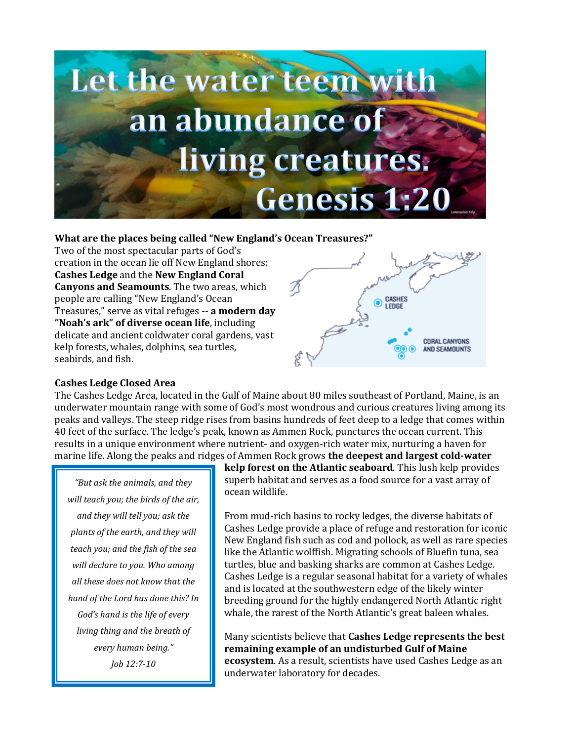

## **What are the places being called "New England's Ocean Treasures?"**

Two of the most spectacular parts of God's creation in the ocean lie off New England shores: **Cashes Ledge** and the **New England Coral Canyons and Seamounts**. The two areas, which people are calling "New England's Ocean Treasures," serve as vital refuges -- **a modern day "Noah's ark" of diverse ocean life**, including delicate and ancient coldwater coral gardens, vast kelp forests, whales, dolphins, sea turtles, seabirds, and fish.



## **Cashes Ledge Closed Area**

The Cashes Ledge Area, located in the Gulf of Maine about 80 miles southeast of Portland, Maine, is an underwater mountain range with some of God's most wondrous and curious creatures living among its peaks and valleys. The steep ridge rises from basins hundreds of feet deep to a ledge that comes within 40 feet of the surface. The ledge's peak, known as Ammen Rock, punctures the ocean current. This results in a unique environment where nutrient- and oxygen-rich water mix, nurturing a haven for marine life. Along the peaks and ridges of Ammen Rock grows **the deepest and largest cold-water** 

*"But ask the animals, and they will teach you; the birds of the air, and they will tell you; ask the plants of the earth, and they will teach you; and the fish of the sea will declare to you. Who among all these does not know that the hand of the Lord has done this? In God's hand is the life of every living thing and the breath of every human being." Job 12:7-10*

**kelp forest on the Atlantic seaboard**. This lush kelp provides superb habitat and serves as a food source for a vast array of ocean wildlife.

From mud-rich basins to rocky ledges, the diverse habitats of Cashes Ledge provide a place of refuge and restoration for iconic New England fish such as cod and pollock, as well as rare species like the Atlantic wolffish. Migrating schools of Bluefin tuna, sea turtles, blue and basking sharks are common at Cashes Ledge. Cashes Ledge is a regular seasonal habitat for a variety of whales and is located at the southwestern edge of the likely winter breeding ground for the highly endangered North Atlantic right whale, the rarest of the North Atlantic's great baleen whales.

Many scientists believe that **Cashes Ledge represents the best remaining example of an undisturbed Gulf of Maine ecosystem**. As a result, scientists have used Cashes Ledge as an underwater laboratory for decades.